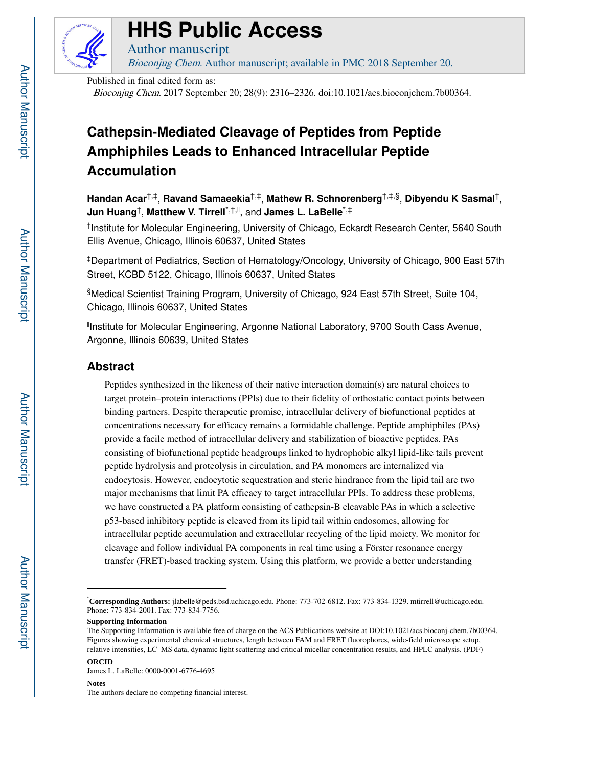

# **HHS Public Access**

Bioconjug Chem. Author manuscript; available in PMC 2018 September 20.

Published in final edited form as:

Author manuscript

Bioconjug Chem. 2017 September 20; 28(9): 2316–2326. doi:10.1021/acs.bioconjchem.7b00364.

## **Cathepsin-Mediated Cleavage of Peptides from Peptide Amphiphiles Leads to Enhanced Intracellular Peptide Accumulation**

**Handan Acar**†,‡, **Ravand Samaeekia**†,‡, **Mathew R. Schnorenberg**†,‡,§, **Dibyendu K Sasmal**†, **Jun Huang**†, **Matthew V. Tirrell**\*,†,‖ , and **James L. LaBelle**\*,‡

† Institute for Molecular Engineering, University of Chicago, Eckardt Research Center, 5640 South Ellis Avenue, Chicago, Illinois 60637, United States

‡Department of Pediatrics, Section of Hematology/Oncology, University of Chicago, 900 East 57th Street, KCBD 5122, Chicago, Illinois 60637, United States

§Medical Scientist Training Program, University of Chicago, 924 East 57th Street, Suite 104, Chicago, Illinois 60637, United States

‖ Institute for Molecular Engineering, Argonne National Laboratory, 9700 South Cass Avenue, Argonne, Illinois 60639, United States

## **Abstract**

Peptides synthesized in the likeness of their native interaction domain(s) are natural choices to target protein–protein interactions (PPIs) due to their fidelity of orthostatic contact points between binding partners. Despite therapeutic promise, intracellular delivery of biofunctional peptides at concentrations necessary for efficacy remains a formidable challenge. Peptide amphiphiles (PAs) provide a facile method of intracellular delivery and stabilization of bioactive peptides. PAs consisting of biofunctional peptide headgroups linked to hydrophobic alkyl lipid-like tails prevent peptide hydrolysis and proteolysis in circulation, and PA monomers are internalized via endocytosis. However, endocytotic sequestration and steric hindrance from the lipid tail are two major mechanisms that limit PA efficacy to target intracellular PPIs. To address these problems, we have constructed a PA platform consisting of cathepsin-B cleavable PAs in which a selective p53-based inhibitory peptide is cleaved from its lipid tail within endosomes, allowing for intracellular peptide accumulation and extracellular recycling of the lipid moiety. We monitor for cleavage and follow individual PA components in real time using a Förster resonance energy transfer (FRET)-based tracking system. Using this platform, we provide a better understanding

#### **Notes** The authors declare no competing financial interest.

<sup>\*</sup>**Corresponding Authors:** jlabelle@peds.bsd.uchicago.edu. Phone: 773-702-6812. Fax: 773-834-1329. mtirrell@uchicago.edu. Phone: 773-834-2001. Fax: 773-834-7756.

**Supporting Information**

The Supporting Information is available free of charge on the ACS Publications website at DOI:10.1021/acs.bioconj-chem.7b00364. Figures showing experimental chemical structures, length between FAM and FRET fluorophores, wide-field microscope setup, relative intensities, LC–MS data, dynamic light scattering and critical micellar concentration results, and HPLC analysis. (PDF)

**ORCID** James L. LaBelle: 0000-0001-6776-4695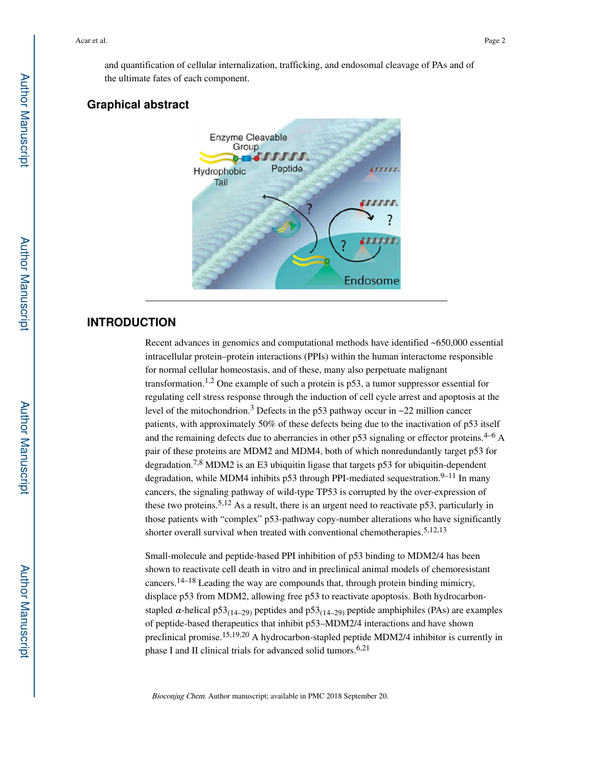and quantification of cellular internalization, trafficking, and endosomal cleavage of PAs and of the ultimate fates of each component.

## **Graphical abstract**



## **INTRODUCTION**

Recent advances in genomics and computational methods have identified ~650,000 essential intracellular protein–protein interactions (PPIs) within the human interactome responsible for normal cellular homeostasis, and of these, many also perpetuate malignant transformation.<sup>1,2</sup> One example of such a protein is  $p53$ , a tumor suppressor essential for regulating cell stress response through the induction of cell cycle arrest and apoptosis at the level of the mitochondrion.<sup>3</sup> Defects in the p53 pathway occur in ~22 million cancer patients, with approximately 50% of these defects being due to the inactivation of p53 itself and the remaining defects due to aberrancies in other p53 signaling or effector proteins.<sup>4–6</sup> A pair of these proteins are MDM2 and MDM4, both of which nonredundantly target p53 for degradation.<sup>7,8</sup> MDM2 is an E3 ubiquitin ligase that targets p53 for ubiquitin-dependent degradation, while MDM4 inhibits p53 through PPI-mediated sequestration.<sup>9–11</sup> In many cancers, the signaling pathway of wild-type TP53 is corrupted by the over-expression of these two proteins.<sup>5,12</sup> As a result, there is an urgent need to reactivate p53, particularly in those patients with "complex" p53-pathway copy-number alterations who have significantly shorter overall survival when treated with conventional chemotherapies.<sup>5,12,13</sup>

Small-molecule and peptide-based PPI inhibition of p53 binding to MDM2/4 has been shown to reactivate cell death in vitro and in preclinical animal models of chemoresistant cancers.14–18 Leading the way are compounds that, through protein binding mimicry, displace p53 from MDM2, allowing free p53 to reactivate apoptosis. Both hydrocarbonstapled  $\alpha$ -helical p53<sub>(14–29)</sub> peptides and p53<sub>(14–29)</sub> peptide amphiphiles (PAs) are examples of peptide-based therapeutics that inhibit p53–MDM2/4 interactions and have shown preclinical promise.15,19,20 A hydrocarbon-stapled peptide MDM2/4 inhibitor is currently in phase I and II clinical trials for advanced solid tumors.<sup>6,21</sup>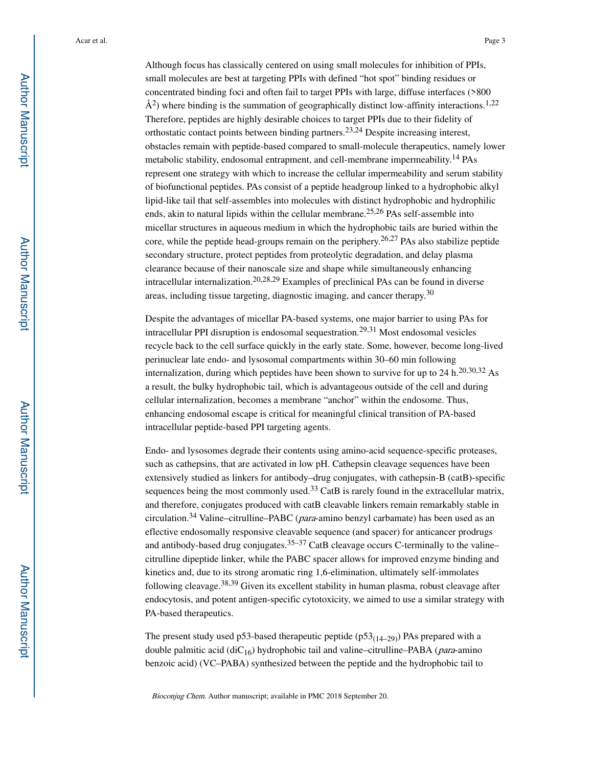Although focus has classically centered on using small molecules for inhibition of PPIs, small molecules are best at targeting PPIs with defined "hot spot" binding residues or concentrated binding foci and often fail to target PPIs with large, diffuse interfaces (>800  $\AA^2$ ) where binding is the summation of geographically distinct low-affinity interactions.<sup>1,22</sup> Therefore, peptides are highly desirable choices to target PPIs due to their fidelity of orthostatic contact points between binding partners.23,24 Despite increasing interest, obstacles remain with peptide-based compared to small-molecule therapeutics, namely lower metabolic stability, endosomal entrapment, and cell-membrane impermeability.<sup>14</sup> PAs represent one strategy with which to increase the cellular impermeability and serum stability of biofunctional peptides. PAs consist of a peptide headgroup linked to a hydrophobic alkyl lipid-like tail that self-assembles into molecules with distinct hydrophobic and hydrophilic ends, akin to natural lipids within the cellular membrane.25,26 PAs self-assemble into micellar structures in aqueous medium in which the hydrophobic tails are buried within the core, while the peptide head-groups remain on the periphery.<sup>26,27</sup> PAs also stabilize peptide secondary structure, protect peptides from proteolytic degradation, and delay plasma clearance because of their nanoscale size and shape while simultaneously enhancing intracellular internalization.<sup>20,28,29</sup> Examples of preclinical PAs can be found in diverse areas, including tissue targeting, diagnostic imaging, and cancer therapy.<sup>30</sup>

Despite the advantages of micellar PA-based systems, one major barrier to using PAs for intracellular PPI disruption is endosomal sequestration.<sup>29,31</sup> Most endosomal vesicles recycle back to the cell surface quickly in the early state. Some, however, become long-lived perinuclear late endo- and lysosomal compartments within 30–60 min following internalization, during which peptides have been shown to survive for up to 24 h.<sup>20,30,32</sup> As a result, the bulky hydrophobic tail, which is advantageous outside of the cell and during cellular internalization, becomes a membrane "anchor" within the endosome. Thus, enhancing endosomal escape is critical for meaningful clinical transition of PA-based intracellular peptide-based PPI targeting agents.

Endo- and lysosomes degrade their contents using amino-acid sequence-specific proteases, such as cathepsins, that are activated in low pH. Cathepsin cleavage sequences have been extensively studied as linkers for antibody–drug conjugates, with cathepsin-B (catB)-specific sequences being the most commonly used.<sup>33</sup> CatB is rarely found in the extracellular matrix, and therefore, conjugates produced with catB cleavable linkers remain remarkably stable in circulation.<sup>34</sup> Valine–citrulline–PABC (*para*-amino benzyl carbamate) has been used as an eflective endosomally responsive cleavable sequence (and spacer) for anticancer prodrugs and antibody-based drug conjugates.<sup>35–37</sup> CatB cleavage occurs C-terminally to the valine– citrulline dipeptide linker, while the PABC spacer allows for improved enzyme binding and kinetics and, due to its strong aromatic ring 1,6-elimination, ultimately self-immolates following cleavage.38,39 Given its excellent stability in human plasma, robust cleavage after endocytosis, and potent antigen-specific cytotoxicity, we aimed to use a similar strategy with PA-based therapeutics.

The present study used p53-based therapeutic peptide ( $p53(14-29)$ ) PAs prepared with a double palmitic acid (diC<sub>16</sub>) hydrophobic tail and valine–citrulline–PABA (*para*-amino benzoic acid) (VC–PABA) synthesized between the peptide and the hydrophobic tail to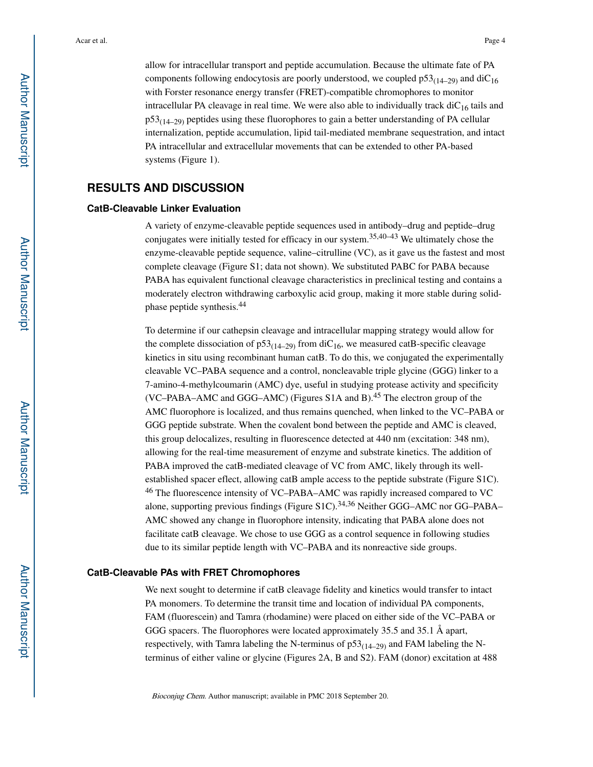allow for intracellular transport and peptide accumulation. Because the ultimate fate of PA components following endocytosis are poorly understood, we coupled  $p53_{(14-29)}$  and diC<sub>16</sub> with Forster resonance energy transfer (FRET)-compatible chromophores to monitor intracellular PA cleavage in real time. We were also able to individually track  $\text{diC}_{16}$  tails and  $p53_{(14-29)}$  peptides using these fluorophores to gain a better understanding of PA cellular internalization, peptide accumulation, lipid tail-mediated membrane sequestration, and intact PA intracellular and extracellular movements that can be extended to other PA-based systems (Figure 1).

## **RESULTS AND DISCUSSION**

#### **CatB-Cleavable Linker Evaluation**

A variety of enzyme-cleavable peptide sequences used in antibody–drug and peptide–drug conjugates were initially tested for efficacy in our system.<sup>35,40–43</sup> We ultimately chose the enzyme-cleavable peptide sequence, valine–citrulline (VC), as it gave us the fastest and most complete cleavage (Figure S1; data not shown). We substituted PABC for PABA because PABA has equivalent functional cleavage characteristics in preclinical testing and contains a moderately electron withdrawing carboxylic acid group, making it more stable during solidphase peptide synthesis.<sup>44</sup>

To determine if our cathepsin cleavage and intracellular mapping strategy would allow for the complete dissociation of  $p53<sub>(14–29)</sub>$  from diC<sub>16</sub>, we measured catB-specific cleavage kinetics in situ using recombinant human catB. To do this, we conjugated the experimentally cleavable VC–PABA sequence and a control, noncleavable triple glycine (GGG) linker to a 7-amino-4-methylcoumarin (AMC) dye, useful in studying protease activity and specificity (VC–PABA–AMC and GGG–AMC) (Figures S1A and B).<sup>45</sup> The electron group of the AMC fluorophore is localized, and thus remains quenched, when linked to the VC–PABA or GGG peptide substrate. When the covalent bond between the peptide and AMC is cleaved, this group delocalizes, resulting in fluorescence detected at 440 nm (excitation: 348 nm), allowing for the real-time measurement of enzyme and substrate kinetics. The addition of PABA improved the catB-mediated cleavage of VC from AMC, likely through its wellestablished spacer eflect, allowing catB ample access to the peptide substrate (Figure S1C). <sup>46</sup> The fluorescence intensity of VC–PABA–AMC was rapidly increased compared to VC alone, supporting previous findings (Figure S1C).34,36 Neither GGG–AMC nor GG–PABA– AMC showed any change in fluorophore intensity, indicating that PABA alone does not facilitate catB cleavage. We chose to use GGG as a control sequence in following studies due to its similar peptide length with VC–PABA and its nonreactive side groups.

#### **CatB-Cleavable PAs with FRET Chromophores**

We next sought to determine if catB cleavage fidelity and kinetics would transfer to intact PA monomers. To determine the transit time and location of individual PA components, FAM (fluorescein) and Tamra (rhodamine) were placed on either side of the VC–PABA or GGG spacers. The fluorophores were located approximately 35.5 and 35.1 Å apart, respectively, with Tamra labeling the N-terminus of  $p53_{(14-29)}$  and FAM labeling the Nterminus of either valine or glycine (Figures 2A, B and S2). FAM (donor) excitation at 488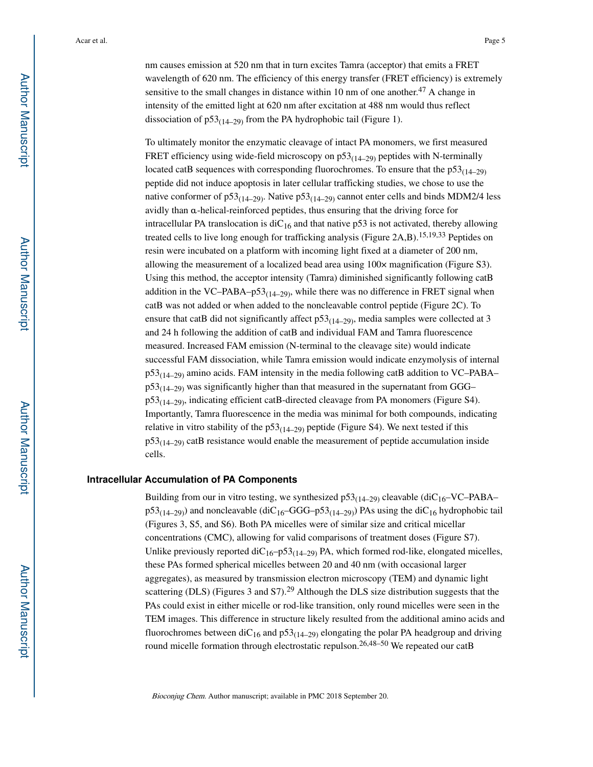nm causes emission at 520 nm that in turn excites Tamra (acceptor) that emits a FRET wavelength of 620 nm. The efficiency of this energy transfer (FRET efficiency) is extremely sensitive to the small changes in distance within 10 nm of one another.<sup>47</sup> A change in intensity of the emitted light at 620 nm after excitation at 488 nm would thus reflect dissociation of  $p53_{(14-29)}$  from the PA hydrophobic tail (Figure 1).

To ultimately monitor the enzymatic cleavage of intact PA monomers, we first measured FRET efficiency using wide-field microscopy on  $p53_{(14-29)}$  peptides with N-terminally located catB sequences with corresponding fluorochromes. To ensure that the  $p53_{(14-29)}$ peptide did not induce apoptosis in later cellular trafficking studies, we chose to use the native conformer of  $p53_{(14-29)}$ . Native  $p53_{(14-29)}$  cannot enter cells and binds MDM2/4 less avidly than α-helical-reinforced peptides, thus ensuring that the driving force for intracellular PA translocation is  $diC_{16}$  and that native p53 is not activated, thereby allowing treated cells to live long enough for trafficking analysis (Figure 2A,B).<sup>15,19,33</sup> Peptides on resin were incubated on a platform with incoming light fixed at a diameter of 200 nm, allowing the measurement of a localized bead area using 100× magnification (Figure S3). Using this method, the acceptor intensity (Tamra) diminished significantly following catB addition in the VC–PABA– $p53_{(14-29)}$ , while there was no difference in FRET signal when catB was not added or when added to the noncleavable control peptide (Figure 2C). To ensure that catB did not significantly affect  $p53<sub>(14–29)</sub>$ , media samples were collected at 3 and 24 h following the addition of catB and individual FAM and Tamra fluorescence measured. Increased FAM emission (N-terminal to the cleavage site) would indicate successful FAM dissociation, while Tamra emission would indicate enzymolysis of internal  $p53_{(14-29)}$  amino acids. FAM intensity in the media following catB addition to VC–PABA–  $p53<sub>(14–29)</sub>$  was significantly higher than that measured in the supernatant from GGG–  $p53<sub>(14–29)</sub>$ , indicating efficient catB-directed cleavage from PA monomers (Figure S4). Importantly, Tamra fluorescence in the media was minimal for both compounds, indicating relative in vitro stability of the  $p53<sub>(14–29)</sub>$  peptide (Figure S4). We next tested if this  $p53_{(14-29)}$  catB resistance would enable the measurement of peptide accumulation inside cells.

#### **Intracellular Accumulation of PA Components**

Building from our in vitro testing, we synthesized  $p53_{(14-29)}$  cleavable (diC<sub>16</sub>–VC–PABA–  $p53<sub>(14–29)</sub>$ ) and noncleavable (diC<sub>16</sub>–GGG–p53<sub>(14–29)</sub>) PAs using the diC<sub>16</sub> hydrophobic tail (Figures 3, S5, and S6). Both PA micelles were of similar size and critical micellar concentrations (CMC), allowing for valid comparisons of treatment doses (Figure S7). Unlike previously reported diC<sub>16</sub>–p53<sub>(14–29)</sub> PA, which formed rod-like, elongated micelles, these PAs formed spherical micelles between 20 and 40 nm (with occasional larger aggregates), as measured by transmission electron microscopy (TEM) and dynamic light scattering (DLS) (Figures 3 and S7).<sup>29</sup> Although the DLS size distribution suggests that the PAs could exist in either micelle or rod-like transition, only round micelles were seen in the TEM images. This difference in structure likely resulted from the additional amino acids and fluorochromes between diC<sub>16</sub> and p53<sub>(14–29)</sub> elongating the polar PA headgroup and driving round micelle formation through electrostatic repulson.<sup>26,48–50</sup> We repeated our catB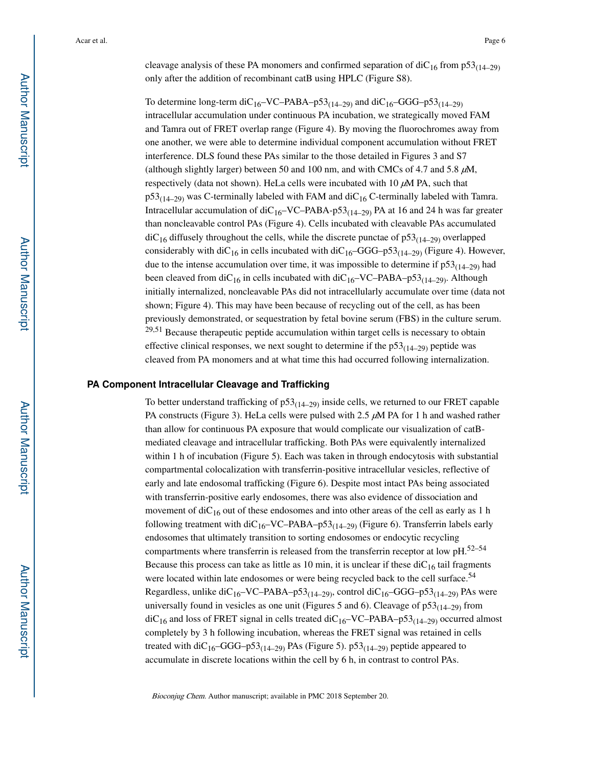cleavage analysis of these PA monomers and confirmed separation of  $\text{diC}_{16}$  from  $p53_{(14-29)}$ only after the addition of recombinant catB using HPLC (Figure S8).

To determine long-term diC<sub>16</sub>–VC–PABA–p53<sub>(14–29)</sub> and diC<sub>16</sub>–GGG–p53<sub>(14–29)</sub> intracellular accumulation under continuous PA incubation, we strategically moved FAM and Tamra out of FRET overlap range (Figure 4). By moving the fluorochromes away from one another, we were able to determine individual component accumulation without FRET interference. DLS found these PAs similar to the those detailed in Figures 3 and S7 (although slightly larger) between 50 and 100 nm, and with CMCs of 4.7 and 5.8  $\mu$ M, respectively (data not shown). HeLa cells were incubated with 10  $\mu$ M PA, such that  $p53<sub>(14–29)</sub>$  was C-terminally labeled with FAM and diC<sub>16</sub> C-terminally labeled with Tamra. Intracellular accumulation of  $diC_{16}$ –VC–PABA-p53<sub>(14–29)</sub> PA at 16 and 24 h was far greater than noncleavable control PAs (Figure 4). Cells incubated with cleavable PAs accumulated  $\mathrm{diC}_{16}$  diffusely throughout the cells, while the discrete punctae of  $p53_{(14-29)}$  overlapped considerably with diC<sub>16</sub> in cells incubated with diC<sub>16</sub>–GGG–p53<sub>(14–29)</sub> (Figure 4). However, due to the intense accumulation over time, it was impossible to determine if  $p53_{(14-29)}$  had been cleaved from diC<sub>16</sub> in cells incubated with diC<sub>16</sub>–VC–PABA–p53<sub>(14–29)</sub>. Although initially internalized, noncleavable PAs did not intracellularly accumulate over time (data not shown; Figure 4). This may have been because of recycling out of the cell, as has been previously demonstrated, or sequestration by fetal bovine serum (FBS) in the culture serum. <sup>29,51</sup> Because therapeutic peptide accumulation within target cells is necessary to obtain effective clinical responses, we next sought to determine if the  $p53<sub>(14–29)</sub>$  peptide was cleaved from PA monomers and at what time this had occurred following internalization.

#### **PA Component Intracellular Cleavage and Trafficking**

To better understand trafficking of  $p53_{(14-29)}$  inside cells, we returned to our FRET capable PA constructs (Figure 3). HeLa cells were pulsed with 2.5 μM PA for 1 h and washed rather than allow for continuous PA exposure that would complicate our visualization of catBmediated cleavage and intracellular trafficking. Both PAs were equivalently internalized within 1 h of incubation (Figure 5). Each was taken in through endocytosis with substantial compartmental colocalization with transferrin-positive intracellular vesicles, reflective of early and late endosomal trafficking (Figure 6). Despite most intact PAs being associated with transferrin-positive early endosomes, there was also evidence of dissociation and movement of  $diC_{16}$  out of these endosomes and into other areas of the cell as early as 1 h following treatment with  $diC_{16}$ –VC–PABA–p53<sub>(14–29)</sub> (Figure 6). Transferrin labels early endosomes that ultimately transition to sorting endosomes or endocytic recycling compartments where transferrin is released from the transferrin receptor at low pH.52–54 Because this process can take as little as 10 min, it is unclear if these  $\text{diC}_{16}$  tail fragments were located within late endosomes or were being recycled back to the cell surface.<sup>54</sup> Regardless, unlike diC<sub>16</sub>–VC–PABA–p53<sub>(14–29)</sub>, control diC<sub>16</sub>–GGG–p53<sub>(14–29)</sub> PAs were universally found in vesicles as one unit (Figures 5 and 6). Cleavage of  $p53_{(14-29)}$  from  $\text{diC}_{16}$  and loss of FRET signal in cells treated  $\text{diC}_{16}-\text{VC}-\text{PABA}-p53_{(14-29)}$  occurred almost completely by 3 h following incubation, whereas the FRET signal was retained in cells treated with diC<sub>16</sub>–GGG–p53<sub>(14–29)</sub> PAs (Figure 5). p53<sub>(14–29)</sub> peptide appeared to accumulate in discrete locations within the cell by 6 h, in contrast to control PAs.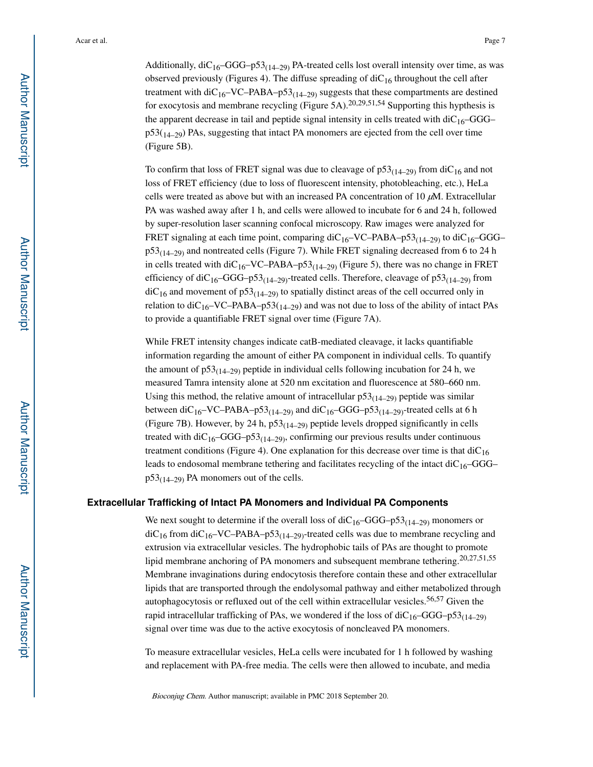Additionally,  $diC_{16}$ –GGG–p53<sub>(14–29)</sub> PA-treated cells lost overall intensity over time, as was observed previously (Figures 4). The diffuse spreading of  $\text{diC}_{16}$  throughout the cell after treatment with  $\text{diC}_{16}$ –VC–PABA–p53<sub>(14–29)</sub> suggests that these compartments are destined for exocytosis and membrane recycling (Figure 5A).<sup>20,29,51,54</sup> Supporting this hypthesis is the apparent decrease in tail and peptide signal intensity in cells treated with  $diC_{16}$ –GGG–  $p53(14-29)$  PAs, suggesting that intact PA monomers are ejected from the cell over time (Figure 5B).

To confirm that loss of FRET signal was due to cleavage of  $p53<sub>(14–29)</sub>$  from diC<sub>16</sub> and not loss of FRET efficiency (due to loss of fluorescent intensity, photobleaching, etc.), HeLa cells were treated as above but with an increased PA concentration of 10  $\mu$ M. Extracellular PA was washed away after 1 h, and cells were allowed to incubate for 6 and 24 h, followed by super-resolution laser scanning confocal microscopy. Raw images were analyzed for FRET signaling at each time point, comparing  $\text{diC}_{16}-\text{VC}-\text{PABA}-\text{p53}_{(14-29)}$  to  $\text{diC}_{16}-\text{GGG}$  $p53<sub>(14–29)</sub>$  and nontreated cells (Figure 7). While FRET signaling decreased from 6 to 24 h in cells treated with  $\text{diC}_{16}$ –VC–PABA–p53<sub>(14–29)</sub> (Figure 5), there was no change in FRET efficiency of diC<sub>16</sub>–GGG–p53<sub>(14–29)</sub>-treated cells. Therefore, cleavage of p53<sub>(14–29)</sub> from  $diC_{16}$  and movement of p53<sub>(14–29)</sub> to spatially distinct areas of the cell occurred only in relation to diC<sub>16</sub>–VC–PABA–p53( $_{14-29}$ ) and was not due to loss of the ability of intact PAs to provide a quantifiable FRET signal over time (Figure 7A).

While FRET intensity changes indicate catB-mediated cleavage, it lacks quantifiable information regarding the amount of either PA component in individual cells. To quantify the amount of  $p53_{(14-29)}$  peptide in individual cells following incubation for 24 h, we measured Tamra intensity alone at 520 nm excitation and fluorescence at 580–660 nm. Using this method, the relative amount of intracellular  $p53_{(14-29)}$  peptide was similar between diC<sub>16</sub>–VC–PABA–p53<sub>(14–29)</sub> and diC<sub>16</sub>–GGG–p53<sub>(14–29)</sub>-treated cells at 6 h (Figure 7B). However, by 24 h,  $p53<sub>(14–29)</sub>$  peptide levels dropped significantly in cells treated with diC<sub>16</sub>–GGG–p53<sub>(14–29)</sub>, confirming our previous results under continuous treatment conditions (Figure 4). One explanation for this decrease over time is that  $diC_{16}$ leads to endosomal membrane tethering and facilitates recycling of the intact  $diC_{16}$ –GGG–  $p53_{(14-29)}$  PA monomers out of the cells.

#### **Extracellular Trafficking of Intact PA Monomers and Individual PA Components**

We next sought to determine if the overall loss of  $diC_{16}-GGG-p53_{(14-29)}$  monomers or  $diC_{16}$  from  $diC_{16}$ –VC–PABA–p53<sub>(14–29)</sub>-treated cells was due to membrane recycling and extrusion via extracellular vesicles. The hydrophobic tails of PAs are thought to promote lipid membrane anchoring of PA monomers and subsequent membrane tethering.20,27,51,55 Membrane invaginations during endocytosis therefore contain these and other extracellular lipids that are transported through the endolysomal pathway and either metabolized through autophagocytosis or refluxed out of the cell within extracellular vesicles.<sup>56,57</sup> Given the rapid intracellular trafficking of PAs, we wondered if the loss of  $diC_{16}$ –GGG–p53<sub>(14–29)</sub> signal over time was due to the active exocytosis of noncleaved PA monomers.

To measure extracellular vesicles, HeLa cells were incubated for 1 h followed by washing and replacement with PA-free media. The cells were then allowed to incubate, and media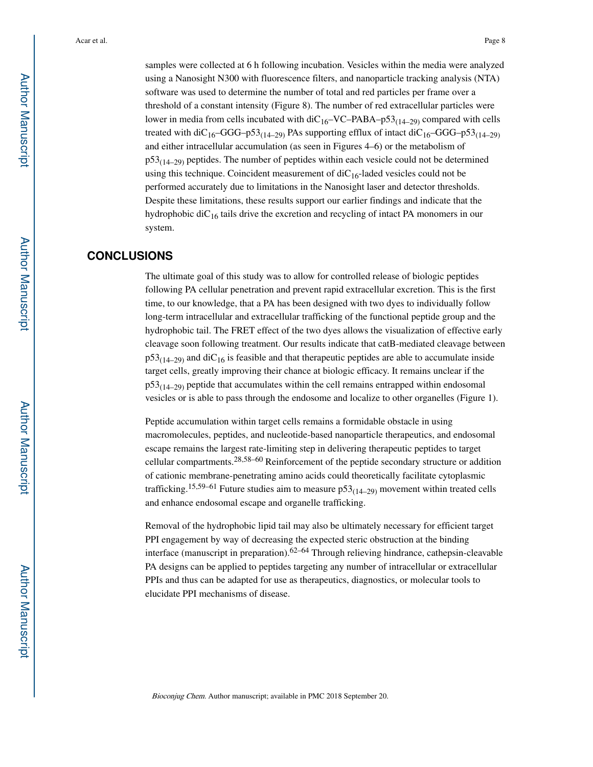samples were collected at 6 h following incubation. Vesicles within the media were analyzed using a Nanosight N300 with fluorescence filters, and nanoparticle tracking analysis (NTA) software was used to determine the number of total and red particles per frame over a threshold of a constant intensity (Figure 8). The number of red extracellular particles were lower in media from cells incubated with  $\text{diC}_{16}-\text{VC}-\text{PABA}-p53_{(14-29)}$  compared with cells treated with diC<sub>16</sub>–GGG–p53<sub>(14–29)</sub> PAs supporting efflux of intact diC<sub>16</sub>–GGG–p53<sub>(14–29)</sub> and either intracellular accumulation (as seen in Figures 4–6) or the metabolism of  $p53<sub>(14–29)</sub>$  peptides. The number of peptides within each vesicle could not be determined using this technique. Coincident measurement of  $diC_{16}$ -laded vesicles could not be performed accurately due to limitations in the Nanosight laser and detector thresholds. Despite these limitations, these results support our earlier findings and indicate that the hydrophobic diC<sub>16</sub> tails drive the excretion and recycling of intact PA monomers in our system.

## **CONCLUSIONS**

The ultimate goal of this study was to allow for controlled release of biologic peptides following PA cellular penetration and prevent rapid extracellular excretion. This is the first time, to our knowledge, that a PA has been designed with two dyes to individually follow long-term intracellular and extracellular trafficking of the functional peptide group and the hydrophobic tail. The FRET effect of the two dyes allows the visualization of effective early cleavage soon following treatment. Our results indicate that catB-mediated cleavage between  $p53_{(14-29)}$  and diC<sub>16</sub> is feasible and that therapeutic peptides are able to accumulate inside target cells, greatly improving their chance at biologic efficacy. It remains unclear if the  $p53<sub>(14–29)</sub>$  peptide that accumulates within the cell remains entrapped within endosomal vesicles or is able to pass through the endosome and localize to other organelles (Figure 1).

Peptide accumulation within target cells remains a formidable obstacle in using macromolecules, peptides, and nucleotide-based nanoparticle therapeutics, and endosomal escape remains the largest rate-limiting step in delivering therapeutic peptides to target cellular compartments.28,58–60 Reinforcement of the peptide secondary structure or addition of cationic membrane-penetrating amino acids could theoretically facilitate cytoplasmic trafficking.<sup>15,59–61</sup> Future studies aim to measure  $p53_{(14-29)}$  movement within treated cells and enhance endosomal escape and organelle trafficking.

Removal of the hydrophobic lipid tail may also be ultimately necessary for efficient target PPI engagement by way of decreasing the expected steric obstruction at the binding interface (manuscript in preparation).62–64 Through relieving hindrance, cathepsin-cleavable PA designs can be applied to peptides targeting any number of intracellular or extracellular PPIs and thus can be adapted for use as therapeutics, diagnostics, or molecular tools to elucidate PPI mechanisms of disease.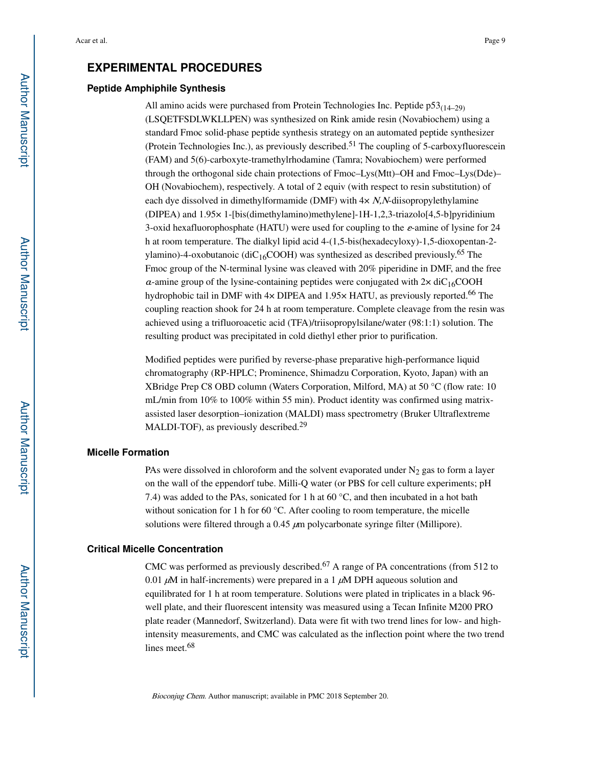## **EXPERIMENTAL PROCEDURES**

#### **Peptide Amphiphile Synthesis**

All amino acids were purchased from Protein Technologies Inc. Peptide  $p53_{(14-29)}$ (LSQETFSDLWKLLPEN) was synthesized on Rink amide resin (Novabiochem) using a standard Fmoc solid-phase peptide synthesis strategy on an automated peptide synthesizer (Protein Technologies Inc.), as previously described.<sup>51</sup> The coupling of 5-carboxyfluorescein (FAM) and 5(6)-carboxyte-tramethylrhodamine (Tamra; Novabiochem) were performed through the orthogonal side chain protections of Fmoc–Lys(Mtt)–OH and Fmoc–Lys(Dde)– OH (Novabiochem), respectively. A total of 2 equiv (with respect to resin substitution) of each dye dissolved in dimethylformamide (DMF) with  $4 \times N$ , N-diisopropylethylamine (DIPEA) and 1.95× 1-[bis(dimethylamino)methylene]-1H-1,2,3-triazolo[4,5-b]pyridinium 3-oxid hexafluorophosphate (HATU) were used for coupling to the ε-amine of lysine for 24 h at room temperature. The dialkyl lipid acid 4-(1,5-bis(hexadecyloxy)-1,5-dioxopentan-2 ylamino)-4-oxobutanoic (diC<sub>16</sub>COOH) was synthesized as described previously.<sup>65</sup> The Fmoc group of the N-terminal lysine was cleaved with 20% piperidine in DMF, and the free  $\alpha$ -amine group of the lysine-containing peptides were conjugated with  $2 \times \text{diC}_{16}$ COOH hydrophobic tail in DMF with  $4 \times$  DIPEA and 1.95 $\times$  HATU, as previously reported.<sup>66</sup> The coupling reaction shook for 24 h at room temperature. Complete cleavage from the resin was achieved using a trifluoroacetic acid (TFA)/triisopropylsilane/water (98:1:1) solution. The resulting product was precipitated in cold diethyl ether prior to purification.

Modified peptides were purified by reverse-phase preparative high-performance liquid chromatography (RP-HPLC; Prominence, Shimadzu Corporation, Kyoto, Japan) with an XBridge Prep C8 OBD column (Waters Corporation, Milford, MA) at 50 °C (flow rate: 10 mL/min from 10% to 100% within 55 min). Product identity was confirmed using matrixassisted laser desorption–ionization (MALDI) mass spectrometry (Bruker Ultraflextreme MALDI-TOF), as previously described.<sup>29</sup>

#### **Micelle Formation**

PAs were dissolved in chloroform and the solvent evaporated under  $N_2$  gas to form a layer on the wall of the eppendorf tube. Milli-Q water (or PBS for cell culture experiments; pH 7.4) was added to the PAs, sonicated for 1 h at 60 °C, and then incubated in a hot bath without sonication for 1 h for 60 °C. After cooling to room temperature, the micelle solutions were filtered through a  $0.45 \mu m$  polycarbonate syringe filter (Millipore).

#### **Critical Micelle Concentration**

CMC was performed as previously described.<sup>67</sup> A range of PA concentrations (from 512 to 0.01  $\mu$ M in half-increments) were prepared in a 1  $\mu$ M DPH aqueous solution and equilibrated for 1 h at room temperature. Solutions were plated in triplicates in a black 96 well plate, and their fluorescent intensity was measured using a Tecan Infinite M200 PRO plate reader (Mannedorf, Switzerland). Data were fit with two trend lines for low- and highintensity measurements, and CMC was calculated as the inflection point where the two trend lines meet.<sup>68</sup>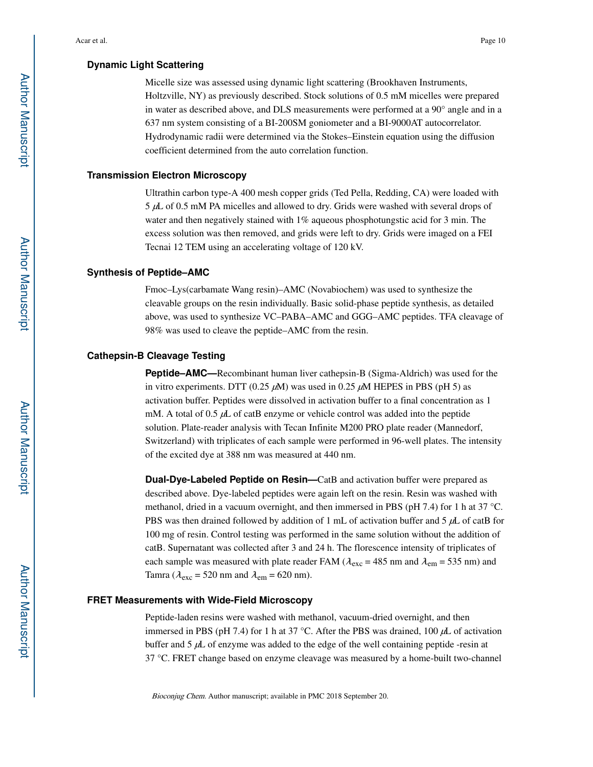Micelle size was assessed using dynamic light scattering (Brookhaven Instruments, Holtzville, NY) as previously described. Stock solutions of 0.5 mM micelles were prepared in water as described above, and DLS measurements were performed at a 90° angle and in a 637 nm system consisting of a BI-200SM goniometer and a BI-9000AT autocorrelator. Hydrodynamic radii were determined via the Stokes–Einstein equation using the diffusion coefficient determined from the auto correlation function.

#### **Transmission Electron Microscopy**

Ultrathin carbon type-A 400 mesh copper grids (Ted Pella, Redding, CA) were loaded with 5 μL of 0.5 mM PA micelles and allowed to dry. Grids were washed with several drops of water and then negatively stained with 1% aqueous phosphotungstic acid for 3 min. The excess solution was then removed, and grids were left to dry. Grids were imaged on a FEI Tecnai 12 TEM using an accelerating voltage of 120 kV.

#### **Synthesis of Peptide–AMC**

Fmoc–Lys(carbamate Wang resin)–AMC (Novabiochem) was used to synthesize the cleavable groups on the resin individually. Basic solid-phase peptide synthesis, as detailed above, was used to synthesize VC–PABA–AMC and GGG–AMC peptides. TFA cleavage of 98% was used to cleave the peptide–AMC from the resin.

#### **Cathepsin-B Cleavage Testing**

**Peptide–AMC—**Recombinant human liver cathepsin-B (Sigma-Aldrich) was used for the in vitro experiments. DTT (0.25  $\mu$ M) was used in 0.25  $\mu$ M HEPES in PBS (pH 5) as activation buffer. Peptides were dissolved in activation buffer to a final concentration as 1 mM. A total of 0.5  $\mu$ L of catB enzyme or vehicle control was added into the peptide solution. Plate-reader analysis with Tecan Infinite M200 PRO plate reader (Mannedorf, Switzerland) with triplicates of each sample were performed in 96-well plates. The intensity of the excited dye at 388 nm was measured at 440 nm.

**Dual-Dye-Labeled Peptide on Resin—**CatB and activation buffer were prepared as described above. Dye-labeled peptides were again left on the resin. Resin was washed with methanol, dried in a vacuum overnight, and then immersed in PBS (pH 7.4) for 1 h at 37 °C. PBS was then drained followed by addition of 1 mL of activation buffer and 5  $\mu$ L of catB for 100 mg of resin. Control testing was performed in the same solution without the addition of catB. Supernatant was collected after 3 and 24 h. The florescence intensity of triplicates of each sample was measured with plate reader FAM ( $\lambda_{\text{exc}}$  = 485 nm and  $\lambda_{\text{em}}$  = 535 nm) and Tamra ( $\lambda_{\text{exc}}$  = 520 nm and  $\lambda_{\text{em}}$  = 620 nm).

#### **FRET Measurements with Wide-Field Microscopy**

Peptide-laden resins were washed with methanol, vacuum-dried overnight, and then immersed in PBS (pH 7.4) for 1 h at 37 °C. After the PBS was drained, 100  $\mu$ L of activation buffer and 5 μL of enzyme was added to the edge of the well containing peptide -resin at 37 °C. FRET change based on enzyme cleavage was measured by a home-built two-channel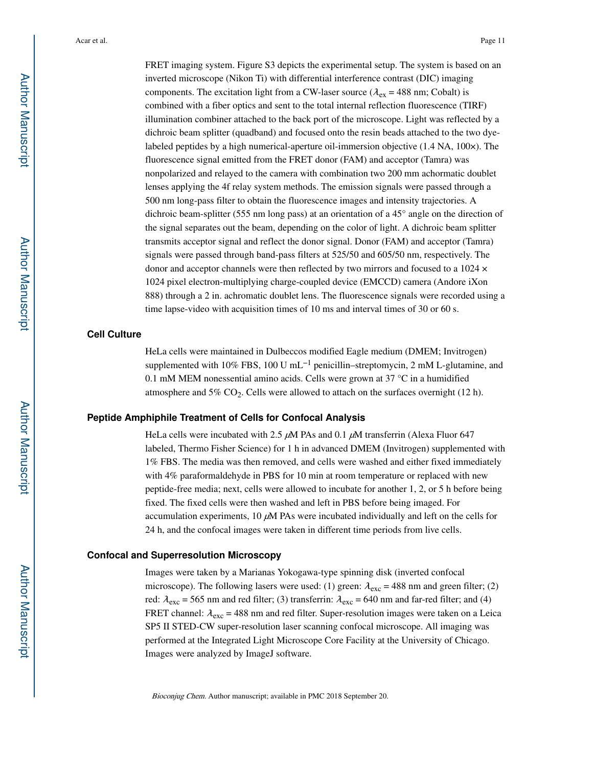FRET imaging system. Figure S3 depicts the experimental setup. The system is based on an inverted microscope (Nikon Ti) with differential interference contrast (DIC) imaging components. The excitation light from a CW-laser source ( $\lambda_{\text{ex}}$  = 488 nm; Cobalt) is combined with a fiber optics and sent to the total internal reflection fluorescence (TIRF) illumination combiner attached to the back port of the microscope. Light was reflected by a dichroic beam splitter (quadband) and focused onto the resin beads attached to the two dyelabeled peptides by a high numerical-aperture oil-immersion objective (1.4 NA, 100×). The fluorescence signal emitted from the FRET donor (FAM) and acceptor (Tamra) was nonpolarized and relayed to the camera with combination two 200 mm achormatic doublet lenses applying the 4f relay system methods. The emission signals were passed through a 500 nm long-pass filter to obtain the fluorescence images and intensity trajectories. A dichroic beam-splitter (555 nm long pass) at an orientation of a 45° angle on the direction of the signal separates out the beam, depending on the color of light. A dichroic beam splitter transmits acceptor signal and reflect the donor signal. Donor (FAM) and acceptor (Tamra) signals were passed through band-pass filters at 525/50 and 605/50 nm, respectively. The donor and acceptor channels were then reflected by two mirrors and focused to a  $1024 \times$ 1024 pixel electron-multiplying charge-coupled device (EMCCD) camera (Andore iXon 888) through a 2 in. achromatic doublet lens. The fluorescence signals were recorded using a time lapse-video with acquisition times of 10 ms and interval times of 30 or 60 s.

#### **Cell Culture**

HeLa cells were maintained in Dulbeccos modified Eagle medium (DMEM; Invitrogen) supplemented with 10% FBS, 100 U mL<sup>-1</sup> penicillin–streptomycin, 2 mM L-glutamine, and 0.1 mM MEM nonessential amino acids. Cells were grown at 37 °C in a humidified atmosphere and  $5\%$  CO<sub>2</sub>. Cells were allowed to attach on the surfaces overnight (12 h).

#### **Peptide Amphiphile Treatment of Cells for Confocal Analysis**

HeLa cells were incubated with 2.5  $\mu$ M PAs and 0.1  $\mu$ M transferrin (Alexa Fluor 647 labeled, Thermo Fisher Science) for 1 h in advanced DMEM (Invitrogen) supplemented with 1% FBS. The media was then removed, and cells were washed and either fixed immediately with 4% paraformaldehyde in PBS for 10 min at room temperature or replaced with new peptide-free media; next, cells were allowed to incubate for another 1, 2, or 5 h before being fixed. The fixed cells were then washed and left in PBS before being imaged. For accumulation experiments,  $10 \mu M$  PAs were incubated individually and left on the cells for 24 h, and the confocal images were taken in different time periods from live cells.

#### **Confocal and Superresolution Microscopy**

Images were taken by a Marianas Yokogawa-type spinning disk (inverted confocal microscope). The following lasers were used: (1) green:  $\lambda_{\rm exc}$  = 488 nm and green filter; (2) red:  $\lambda_{\text{exc}}$  = 565 nm and red filter; (3) transferrin:  $\lambda_{\text{exc}}$  = 640 nm and far-red filter; and (4) FRET channel:  $\lambda_{\text{exc}}$  = 488 nm and red filter. Super-resolution images were taken on a Leica SP5 II STED-CW super-resolution laser scanning confocal microscope. All imaging was performed at the Integrated Light Microscope Core Facility at the University of Chicago. Images were analyzed by ImageJ software.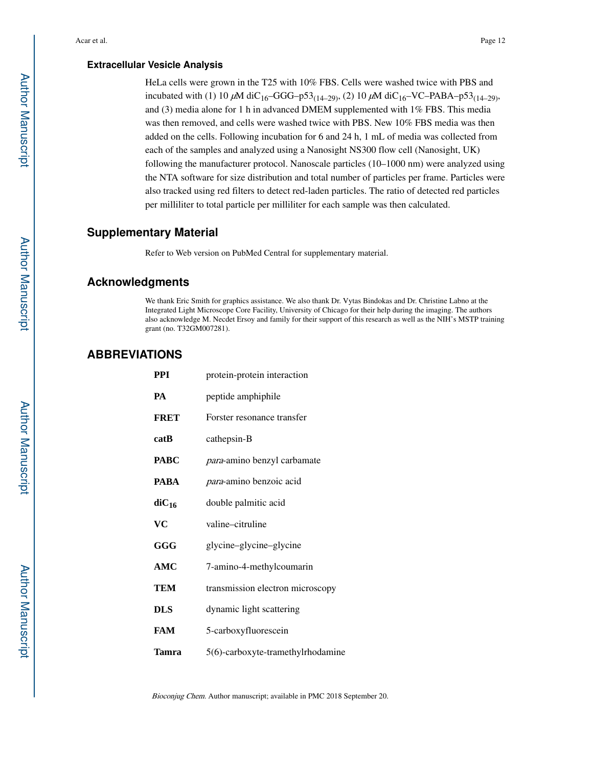#### **Extracellular Vesicle Analysis**

HeLa cells were grown in the T25 with 10% FBS. Cells were washed twice with PBS and incubated with (1) 10  $\mu$ M diC<sub>16</sub>–GGG–p53<sub>(14–29)</sub>, (2) 10  $\mu$ M diC<sub>16</sub>–VC–PABA–p53<sub>(14–29)</sub>, and (3) media alone for 1 h in advanced DMEM supplemented with 1% FBS. This media was then removed, and cells were washed twice with PBS. New 10% FBS media was then added on the cells. Following incubation for 6 and 24 h, 1 mL of media was collected from each of the samples and analyzed using a Nanosight NS300 flow cell (Nanosight, UK) following the manufacturer protocol. Nanoscale particles (10–1000 nm) were analyzed using the NTA software for size distribution and total number of particles per frame. Particles were also tracked using red filters to detect red-laden particles. The ratio of detected red particles per milliliter to total particle per milliliter for each sample was then calculated.

## **Supplementary Material**

Refer to Web version on PubMed Central for supplementary material.

## **Acknowledgments**

We thank Eric Smith for graphics assistance. We also thank Dr. Vytas Bindokas and Dr. Christine Labno at the Integrated Light Microscope Core Facility, University of Chicago for their help during the imaging. The authors also acknowledge M. Necdet Ersoy and family for their support of this research as well as the NIH's MSTP training grant (no. T32GM007281).

## **ABBREVIATIONS**

| PPI         | protein-protein interaction       |
|-------------|-----------------------------------|
| PA          | peptide amphiphile                |
| <b>FRET</b> | Forster resonance transfer        |
| catB        | cathepsin-B                       |
| <b>PABC</b> | para-amino benzyl carbamate       |
| <b>PABA</b> | <i>para</i> -amino benzoic acid   |
| $diC_{16}$  | double palmitic acid              |
| VC          | valine-citruline                  |
| GGG         | glycine-glycine-glycine           |
| AMC         | 7-amino-4-methylcoumarin          |
| TEM         | transmission electron microscopy  |
| <b>DLS</b>  | dynamic light scattering          |
| FAM         | 5-carboxyfluorescein              |
| Tamra       | 5(6)-carboxyte-tramethylrhodamine |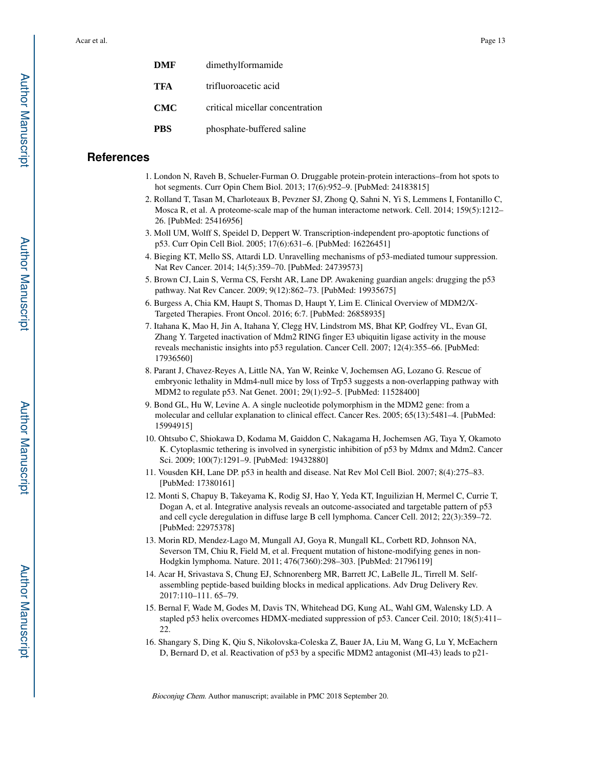| DMF        | dimethylformamide               |
|------------|---------------------------------|
| TFA        | trifluoroacetic acid            |
| CMC        | critical micellar concentration |
| <b>PBS</b> | phosphate-buffered saline       |

#### **References**

- 1. London N, Raveh B, Schueler-Furman O. Druggable protein-protein interactions–from hot spots to hot segments. Curr Opin Chem Biol. 2013; 17(6):952–9. [PubMed: 24183815]
- 2. Rolland T, Tasan M, Charloteaux B, Pevzner SJ, Zhong Q, Sahni N, Yi S, Lemmens I, Fontanillo C, Mosca R, et al. A proteome-scale map of the human interactome network. Cell. 2014; 159(5):1212– 26. [PubMed: 25416956]
- 3. Moll UM, Wolff S, Speidel D, Deppert W. Transcription-independent pro-apoptotic functions of p53. Curr Opin Cell Biol. 2005; 17(6):631–6. [PubMed: 16226451]
- 4. Bieging KT, Mello SS, Attardi LD. Unravelling mechanisms of p53-mediated tumour suppression. Nat Rev Cancer. 2014; 14(5):359–70. [PubMed: 24739573]
- 5. Brown CJ, Lain S, Verma CS, Fersht AR, Lane DP. Awakening guardian angels: drugging the p53 pathway. Nat Rev Cancer. 2009; 9(12):862–73. [PubMed: 19935675]
- 6. Burgess A, Chia KM, Haupt S, Thomas D, Haupt Y, Lim E. Clinical Overview of MDM2/X-Targeted Therapies. Front Oncol. 2016; 6:7. [PubMed: 26858935]
- 7. Itahana K, Mao H, Jin A, Itahana Y, Clegg HV, Lindstrom MS, Bhat KP, Godfrey VL, Evan GI, Zhang Y. Targeted inactivation of Mdm2 RING finger E3 ubiquitin ligase activity in the mouse reveals mechanistic insights into p53 regulation. Cancer Cell. 2007; 12(4):355–66. [PubMed: 17936560]
- 8. Parant J, Chavez-Reyes A, Little NA, Yan W, Reinke V, Jochemsen AG, Lozano G. Rescue of embryonic lethality in Mdm4-null mice by loss of Trp53 suggests a non-overlapping pathway with MDM2 to regulate p53. Nat Genet. 2001; 29(1):92–5. [PubMed: 11528400]
- 9. Bond GL, Hu W, Levine A. A single nucleotide polymorphism in the MDM2 gene: from a molecular and cellular explanation to clinical effect. Cancer Res. 2005; 65(13):5481–4. [PubMed: 15994915]
- 10. Ohtsubo C, Shiokawa D, Kodama M, Gaiddon C, Nakagama H, Jochemsen AG, Taya Y, Okamoto K. Cytoplasmic tethering is involved in synergistic inhibition of p53 by Mdmx and Mdm2. Cancer Sci. 2009; 100(7):1291–9. [PubMed: 19432880]
- 11. Vousden KH, Lane DP. p53 in health and disease. Nat Rev Mol Cell Biol. 2007; 8(4):275–83. [PubMed: 17380161]
- 12. Monti S, Chapuy B, Takeyama K, Rodig SJ, Hao Y, Yeda KT, Inguilizian H, Mermel C, Currie T, Dogan A, et al. Integrative analysis reveals an outcome-associated and targetable pattern of p53 and cell cycle deregulation in diffuse large B cell lymphoma. Cancer Cell. 2012; 22(3):359–72. [PubMed: 22975378]
- 13. Morin RD, Mendez-Lago M, Mungall AJ, Goya R, Mungall KL, Corbett RD, Johnson NA, Severson TM, Chiu R, Field M, et al. Frequent mutation of histone-modifying genes in non-Hodgkin lymphoma. Nature. 2011; 476(7360):298–303. [PubMed: 21796119]
- 14. Acar H, Srivastava S, Chung EJ, Schnorenberg MR, Barrett JC, LaBelle JL, Tirrell M. Selfassembling peptide-based building blocks in medical applications. Adv Drug Delivery Rev. 2017:110–111. 65–79.
- 15. Bernal F, Wade M, Godes M, Davis TN, Whitehead DG, Kung AL, Wahl GM, Walensky LD. A stapled p53 helix overcomes HDMX-mediated suppression of p53. Cancer Ceil. 2010; 18(5):411– 22.
- 16. Shangary S, Ding K, Qiu S, Nikolovska-Coleska Z, Bauer JA, Liu M, Wang G, Lu Y, McEachern D, Bernard D, et al. Reactivation of p53 by a specific MDM2 antagonist (MI-43) leads to p21-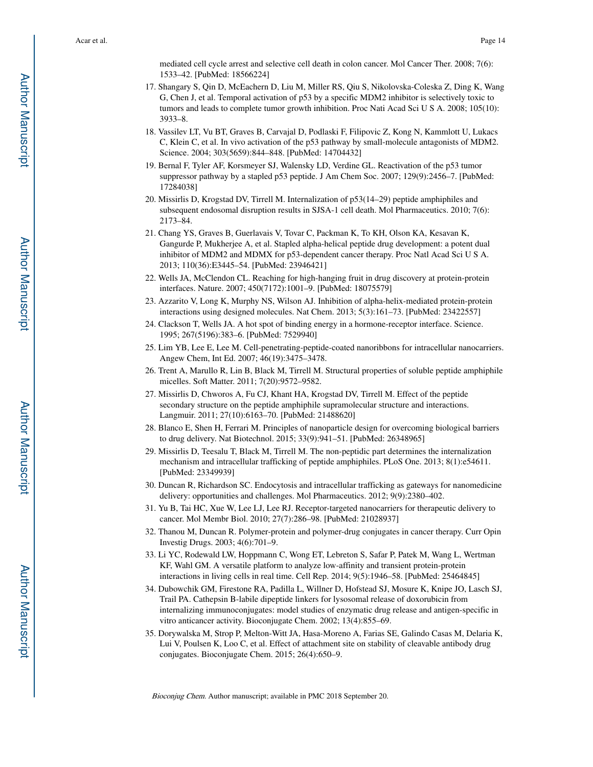mediated cell cycle arrest and selective cell death in colon cancer. Mol Cancer Ther. 2008; 7(6): 1533–42. [PubMed: 18566224]

- 17. Shangary S, Qin D, McEachern D, Liu M, Miller RS, Qiu S, Nikolovska-Coleska Z, Ding K, Wang G, Chen J, et al. Temporal activation of p53 by a specific MDM2 inhibitor is selectively toxic to tumors and leads to complete tumor growth inhibition. Proc Nati Acad Sci U S A. 2008; 105(10): 3933–8.
- 18. Vassilev LT, Vu BT, Graves B, Carvajal D, Podlaski F, Filipovic Z, Kong N, Kammlott U, Lukacs C, Klein C, et al. In vivo activation of the p53 pathway by small-molecule antagonists of MDM2. Science. 2004; 303(5659):844–848. [PubMed: 14704432]
- 19. Bernal F, Tyler AF, Korsmeyer SJ, Walensky LD, Verdine GL. Reactivation of the p53 tumor suppressor pathway by a stapled p53 peptide. J Am Chem Soc. 2007; 129(9):2456–7. [PubMed: 17284038]
- 20. Missirlis D, Krogstad DV, Tirrell M. Internalization of p53(14–29) peptide amphiphiles and subsequent endosomal disruption results in SJSA-1 cell death. Mol Pharmaceutics. 2010; 7(6): 2173–84.
- 21. Chang YS, Graves B, Guerlavais V, Tovar C, Packman K, To KH, Olson KA, Kesavan K, Gangurde P, Mukherjee A, et al. Stapled alpha-helical peptide drug development: a potent dual inhibitor of MDM2 and MDMX for p53-dependent cancer therapy. Proc Natl Acad Sci U S A. 2013; 110(36):E3445–54. [PubMed: 23946421]
- 22. Wells JA, McClendon CL. Reaching for high-hanging fruit in drug discovery at protein-protein interfaces. Nature. 2007; 450(7172):1001–9. [PubMed: 18075579]
- 23. Azzarito V, Long K, Murphy NS, Wilson AJ. Inhibition of alpha-helix-mediated protein-protein interactions using designed molecules. Nat Chem. 2013; 5(3):161–73. [PubMed: 23422557]
- 24. Clackson T, Wells JA. A hot spot of binding energy in a hormone-receptor interface. Science. 1995; 267(5196):383–6. [PubMed: 7529940]
- 25. Lim YB, Lee E, Lee M. Cell-penetrating-peptide-coated nanoribbons for intracellular nanocarriers. Angew Chem, Int Ed. 2007; 46(19):3475–3478.
- 26. Trent A, Marullo R, Lin B, Black M, Tirrell M. Structural properties of soluble peptide amphiphile micelles. Soft Matter. 2011; 7(20):9572–9582.
- 27. Missirlis D, Chworos A, Fu CJ, Khant HA, Krogstad DV, Tirrell M. Effect of the peptide secondary structure on the peptide amphiphile supramolecular structure and interactions. Langmuir. 2011; 27(10):6163–70. [PubMed: 21488620]
- 28. Blanco E, Shen H, Ferrari M. Principles of nanoparticle design for overcoming biological barriers to drug delivery. Nat Biotechnol. 2015; 33(9):941–51. [PubMed: 26348965]
- 29. Missirlis D, Teesalu T, Black M, Tirrell M. The non-peptidic part determines the internalization mechanism and intracellular trafficking of peptide amphiphiles. PLoS One. 2013; 8(1):e54611. [PubMed: 23349939]
- 30. Duncan R, Richardson SC. Endocytosis and intracellular trafficking as gateways for nanomedicine delivery: opportunities and challenges. Mol Pharmaceutics. 2012; 9(9):2380–402.
- 31. Yu B, Tai HC, Xue W, Lee LJ, Lee RJ. Receptor-targeted nanocarriers for therapeutic delivery to cancer. Mol Membr Biol. 2010; 27(7):286–98. [PubMed: 21028937]
- 32. Thanou M, Duncan R. Polymer-protein and polymer-drug conjugates in cancer therapy. Curr Opin Investig Drugs. 2003; 4(6):701–9.
- 33. Li YC, Rodewald LW, Hoppmann C, Wong ET, Lebreton S, Safar P, Patek M, Wang L, Wertman KF, Wahl GM. A versatile platform to analyze low-affinity and transient protein-protein interactions in living cells in real time. Cell Rep. 2014; 9(5):1946–58. [PubMed: 25464845]
- 34. Dubowchik GM, Firestone RA, Padilla L, Willner D, Hofstead SJ, Mosure K, Knipe JO, Lasch SJ, Trail PA. Cathepsin B-labile dipeptide linkers for lysosomal release of doxorubicin from internalizing immunoconjugates: model studies of enzymatic drug release and antigen-specific in vitro anticancer activity. Bioconjugate Chem. 2002; 13(4):855–69.
- 35. Dorywalska M, Strop P, Melton-Witt JA, Hasa-Moreno A, Farias SE, Galindo Casas M, Delaria K, Lui V, Poulsen K, Loo C, et al. Effect of attachment site on stability of cleavable antibody drug conjugates. Bioconjugate Chem. 2015; 26(4):650–9.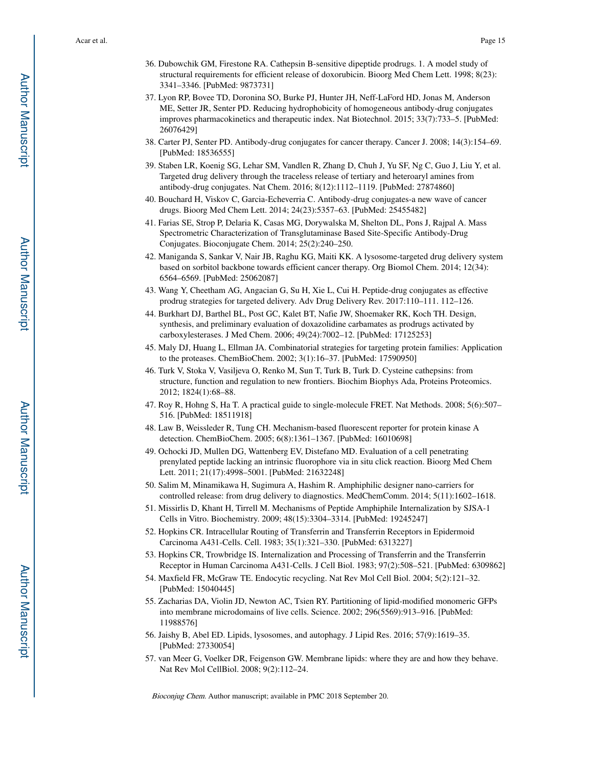- 36. Dubowchik GM, Firestone RA. Cathepsin B-sensitive dipeptide prodrugs. 1. A model study of structural requirements for efficient release of doxorubicin. Bioorg Med Chem Lett. 1998; 8(23): 3341–3346. [PubMed: 9873731]
- 37. Lyon RP, Bovee TD, Doronina SO, Burke PJ, Hunter JH, Neff-LaFord HD, Jonas M, Anderson ME, Setter JR, Senter PD. Reducing hydrophobicity of homogeneous antibody-drug conjugates improves pharmacokinetics and therapeutic index. Nat Biotechnol. 2015; 33(7):733–5. [PubMed: 26076429]
- 38. Carter PJ, Senter PD. Antibody-drug conjugates for cancer therapy. Cancer J. 2008; 14(3):154–69. [PubMed: 18536555]
- 39. Staben LR, Koenig SG, Lehar SM, Vandlen R, Zhang D, Chuh J, Yu SF, Ng C, Guo J, Liu Y, et al. Targeted drug delivery through the traceless release of tertiary and heteroaryl amines from antibody-drug conjugates. Nat Chem. 2016; 8(12):1112–1119. [PubMed: 27874860]
- 40. Bouchard H, Viskov C, Garcia-Echeverria C. Antibody-drug conjugates-a new wave of cancer drugs. Bioorg Med Chem Lett. 2014; 24(23):5357–63. [PubMed: 25455482]
- 41. Farias SE, Strop P, Delaria K, Casas MG, Dorywalska M, Shelton DL, Pons J, Rajpal A. Mass Spectrometric Characterization of Transglutaminase Based Site-Specific Antibody-Drug Conjugates. Bioconjugate Chem. 2014; 25(2):240–250.
- 42. Maniganda S, Sankar V, Nair JB, Raghu KG, Maiti KK. A lysosome-targeted drug delivery system based on sorbitol backbone towards efficient cancer therapy. Org Biomol Chem. 2014; 12(34): 6564–6569. [PubMed: 25062087]
- 43. Wang Y, Cheetham AG, Angacian G, Su H, Xie L, Cui H. Peptide-drug conjugates as effective prodrug strategies for targeted delivery. Adv Drug Delivery Rev. 2017:110–111. 112–126.
- 44. Burkhart DJ, Barthel BL, Post GC, Kalet BT, Nafie JW, Shoemaker RK, Koch TH. Design, synthesis, and preliminary evaluation of doxazolidine carbamates as prodrugs activated by carboxylesterases. J Med Chem. 2006; 49(24):7002–12. [PubMed: 17125253]
- 45. Maly DJ, Huang L, Ellman JA. Combinatorial strategies for targeting protein families: Application to the proteases. ChemBioChem. 2002; 3(1):16–37. [PubMed: 17590950]
- 46. Turk V, Stoka V, Vasiljeva O, Renko M, Sun T, Turk B, Turk D. Cysteine cathepsins: from structure, function and regulation to new frontiers. Biochim Biophys Ada, Proteins Proteomics. 2012; 1824(1):68–88.
- 47. Roy R, Hohng S, Ha T. A practical guide to single-molecule FRET. Nat Methods. 2008; 5(6):507– 516. [PubMed: 18511918]
- 48. Law B, Weissleder R, Tung CH. Mechanism-based fluorescent reporter for protein kinase A detection. ChemBioChem. 2005; 6(8):1361–1367. [PubMed: 16010698]
- 49. Ochocki JD, Mullen DG, Wattenberg EV, Distefano MD. Evaluation of a cell penetrating prenylated peptide lacking an intrinsic fluorophore via in situ click reaction. Bioorg Med Chem Lett. 2011; 21(17):4998–5001. [PubMed: 21632248]
- 50. Salim M, Minamikawa H, Sugimura A, Hashim R. Amphiphilic designer nano-carriers for controlled release: from drug delivery to diagnostics. MedChemComm. 2014; 5(11):1602–1618.
- 51. Missirlis D, Khant H, Tirrell M. Mechanisms of Peptide Amphiphile Internalization by SJSA-1 Cells in Vitro. Biochemistry. 2009; 48(15):3304–3314. [PubMed: 19245247]
- 52. Hopkins CR. Intracellular Routing of Transferrin and Transferrin Receptors in Epidermoid Carcinoma A431-Cells. Cell. 1983; 35(1):321–330. [PubMed: 6313227]
- 53. Hopkins CR, Trowbridge IS. Internalization and Processing of Transferrin and the Transferrin Receptor in Human Carcinoma A431-Cells. J Cell Biol. 1983; 97(2):508–521. [PubMed: 6309862]
- 54. Maxfield FR, McGraw TE. Endocytic recycling. Nat Rev Mol Cell Biol. 2004; 5(2):121–32. [PubMed: 15040445]
- 55. Zacharias DA, Violin JD, Newton AC, Tsien RY. Partitioning of lipid-modified monomeric GFPs into membrane microdomains of live cells. Science. 2002; 296(5569):913–916. [PubMed: 11988576]
- 56. Jaishy B, Abel ED. Lipids, lysosomes, and autophagy. J Lipid Res. 2016; 57(9):1619–35. [PubMed: 27330054]
- 57. van Meer G, Voelker DR, Feigenson GW. Membrane lipids: where they are and how they behave. Nat Rev Mol CellBiol. 2008; 9(2):112–24.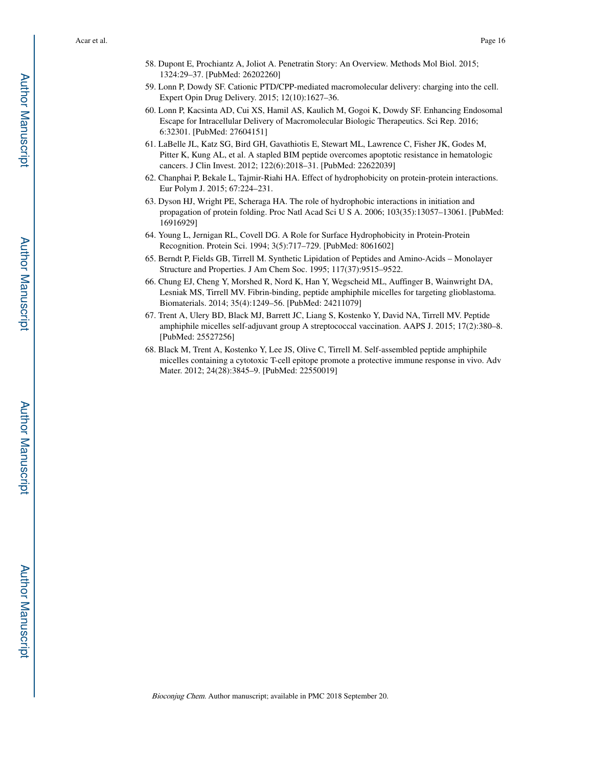- 58. Dupont E, Prochiantz A, Joliot A. Penetratin Story: An Overview. Methods Mol Biol. 2015; 1324:29–37. [PubMed: 26202260]
- 59. Lonn P, Dowdy SF. Cationic PTD/CPP-mediated macromolecular delivery: charging into the cell. Expert Opin Drug Delivery. 2015; 12(10):1627–36.
- 60. Lonn P, Kacsinta AD, Cui XS, Hamil AS, Kaulich M, Gogoi K, Dowdy SF. Enhancing Endosomal Escape for Intracellular Delivery of Macromolecular Biologic Therapeutics. Sci Rep. 2016; 6:32301. [PubMed: 27604151]
- 61. LaBelle JL, Katz SG, Bird GH, Gavathiotis E, Stewart ML, Lawrence C, Fisher JK, Godes M, Pitter K, Kung AL, et al. A stapled BIM peptide overcomes apoptotic resistance in hematologic cancers. J Clin Invest. 2012; 122(6):2018–31. [PubMed: 22622039]
- 62. Chanphai P, Bekale L, Tajmir-Riahi HA. Effect of hydrophobicity on protein-protein interactions. Eur Polym J. 2015; 67:224–231.
- 63. Dyson HJ, Wright PE, Scheraga HA. The role of hydrophobic interactions in initiation and propagation of protein folding. Proc Natl Acad Sci U S A. 2006; 103(35):13057–13061. [PubMed: 16916929]
- 64. Young L, Jernigan RL, Covell DG. A Role for Surface Hydrophobicity in Protein-Protein Recognition. Protein Sci. 1994; 3(5):717–729. [PubMed: 8061602]
- 65. Berndt P, Fields GB, Tirrell M. Synthetic Lipidation of Peptides and Amino-Acids Monolayer Structure and Properties. J Am Chem Soc. 1995; 117(37):9515–9522.
- 66. Chung EJ, Cheng Y, Morshed R, Nord K, Han Y, Wegscheid ML, Auffinger B, Wainwright DA, Lesniak MS, Tirrell MV. Fibrin-binding, peptide amphiphile micelles for targeting glioblastoma. Biomaterials. 2014; 35(4):1249–56. [PubMed: 24211079]
- 67. Trent A, Ulery BD, Black MJ, Barrett JC, Liang S, Kostenko Y, David NA, Tirrell MV. Peptide amphiphile micelles self-adjuvant group A streptococcal vaccination. AAPS J. 2015; 17(2):380–8. [PubMed: 25527256]
- 68. Black M, Trent A, Kostenko Y, Lee JS, Olive C, Tirrell M. Self-assembled peptide amphiphile micelles containing a cytotoxic T-cell epitope promote a protective immune response in vivo. Adv Mater. 2012; 24(28):3845–9. [PubMed: 22550019]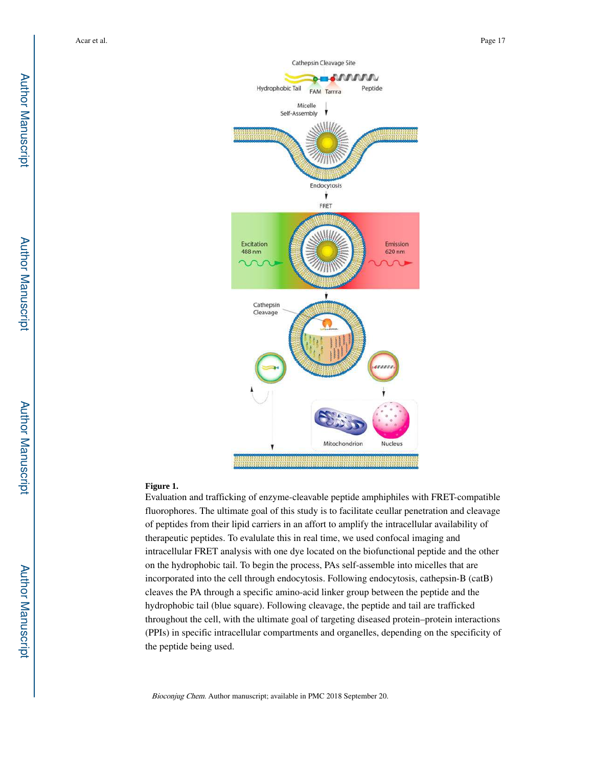

#### **Figure 1.**

Evaluation and trafficking of enzyme-cleavable peptide amphiphiles with FRET-compatible fluorophores. The ultimate goal of this study is to facilitate ceullar penetration and cleavage of peptides from their lipid carriers in an affort to amplify the intracellular availability of therapeutic peptides. To evalulate this in real time, we used confocal imaging and intracellular FRET analysis with one dye located on the biofunctional peptide and the other on the hydrophobic tail. To begin the process, PAs self-assemble into micelles that are incorporated into the cell through endocytosis. Following endocytosis, cathepsin-B (catB) cleaves the PA through a specific amino-acid linker group between the peptide and the hydrophobic tail (blue square). Following cleavage, the peptide and tail are trafficked throughout the cell, with the ultimate goal of targeting diseased protein–protein interactions (PPIs) in specific intracellular compartments and organelles, depending on the specificity of the peptide being used.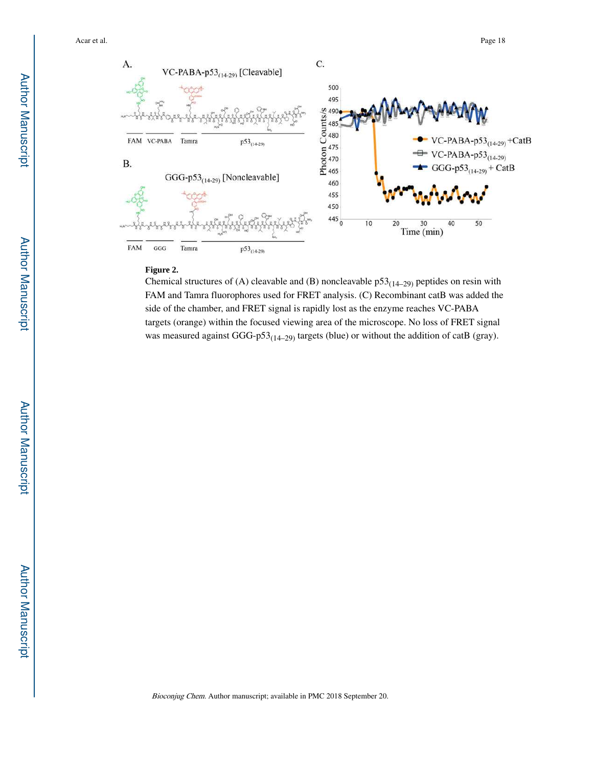

#### **Figure 2.**

Chemical structures of (A) cleavable and (B) noncleavable  $p53_{(14-29)}$  peptides on resin with FAM and Tamra fluorophores used for FRET analysis. (C) Recombinant catB was added the side of the chamber, and FRET signal is rapidly lost as the enzyme reaches VC-PABA targets (orange) within the focused viewing area of the microscope. No loss of FRET signal was measured against GGG-p53<sub>(14–29)</sub> targets (blue) or without the addition of catB (gray).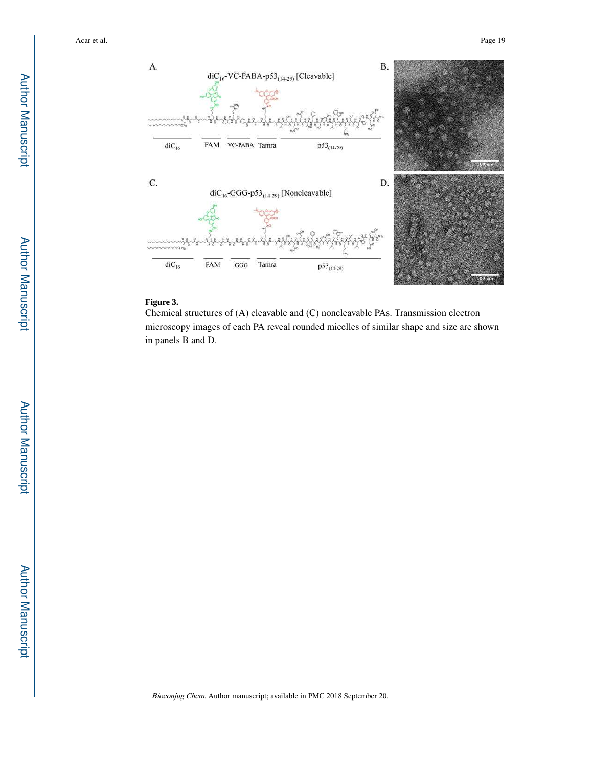

#### **Figure 3.**

Chemical structures of (A) cleavable and (C) noncleavable PAs. Transmission electron microscopy images of each PA reveal rounded micelles of similar shape and size are shown in panels B and D.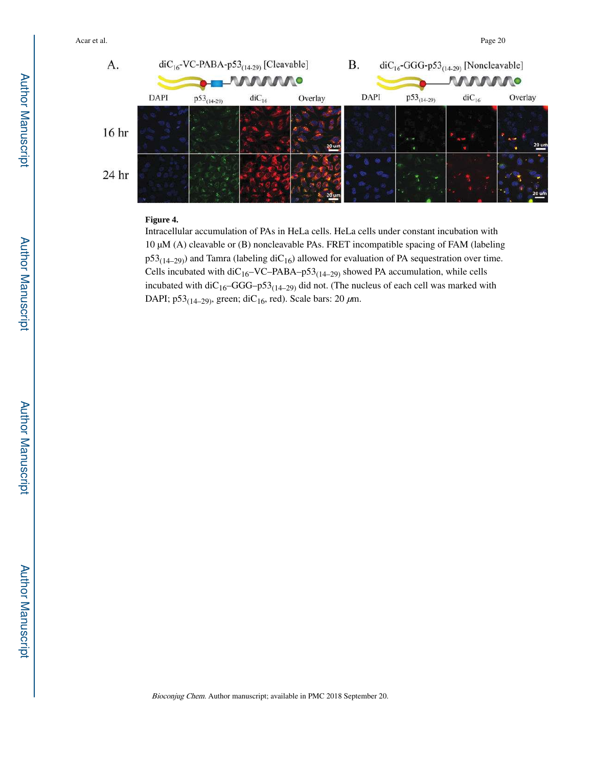

### **Figure 4.**

Intracellular accumulation of PAs in HeLa cells. HeLa cells under constant incubation with 10 μM (A) cleavable or (B) noncleavable PAs. FRET incompatible spacing of FAM (labeling  $p53_{(14-29)}$ ) and Tamra (labeling diC<sub>16</sub>) allowed for evaluation of PA sequestration over time. Cells incubated with diC<sub>16</sub>–VC–PABA–p53<sub>(14–29)</sub> showed PA accumulation, while cells incubated with diC<sub>16</sub>–GGG–p53<sub>(14–29)</sub> did not. (The nucleus of each cell was marked with DAPI; p53<sub>(14–29)</sub>, green; diC<sub>16</sub>, red). Scale bars: 20  $\mu$ m.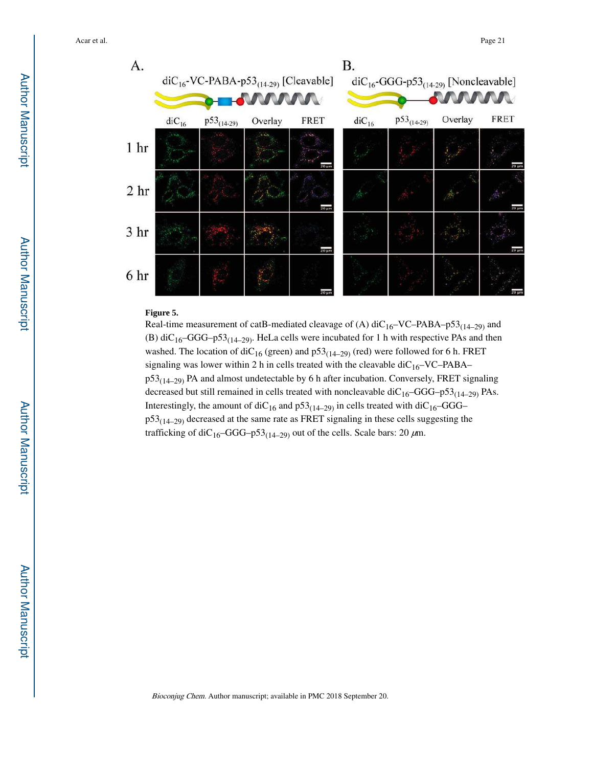

#### **Figure 5.**

Real-time measurement of catB-mediated cleavage of (A)  $\text{diC}_{16}-\text{VC-PABA}-p53_{(14-29)}$  and (B) diC<sub>16</sub>–GGG–p53<sub>(14–29)</sub>. HeLa cells were incubated for 1 h with respective PAs and then washed. The location of diC<sub>16</sub> (green) and  $p53<sub>(14–29)</sub>$  (red) were followed for 6 h. FRET signaling was lower within 2 h in cells treated with the cleavable  $\text{diC}_{16}$ –VC–PABA–  $p53<sub>(14–29)</sub>$  PA and almost undetectable by 6 h after incubation. Conversely, FRET signaling decreased but still remained in cells treated with noncleavable di $C_{16}$ –GGG–p53<sub>(14–29)</sub> PAs. Interestingly, the amount of diC<sub>16</sub> and  $p53_{(14-29)}$  in cells treated with diC<sub>16</sub>–GGG–  $p53<sub>(14–29)</sub>$  decreased at the same rate as FRET signaling in these cells suggesting the trafficking of diC<sub>16</sub>–GGG–p53<sub>(14–29)</sub> out of the cells. Scale bars: 20  $\mu$ m.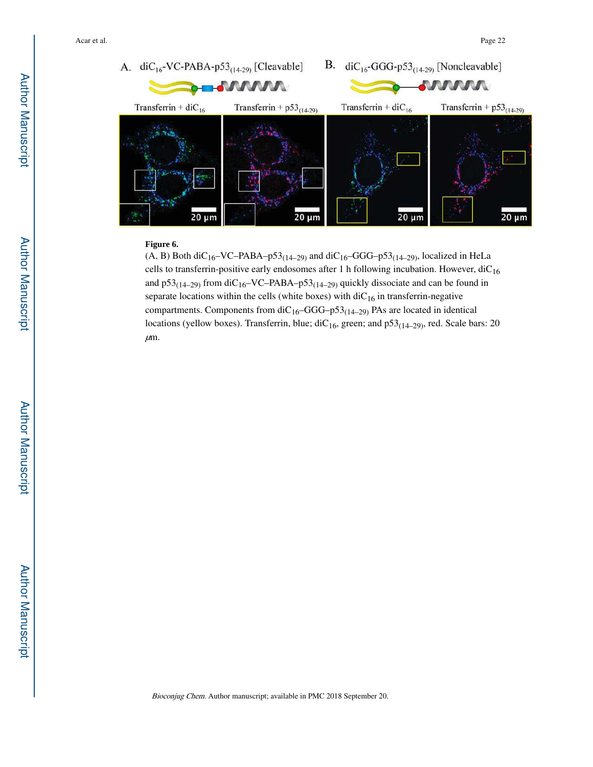

#### **Figure 6.**

(A, B) Both diC<sub>16</sub>–VC–PABA–p53<sub>(14–29)</sub> and diC<sub>16</sub>–GGG–p53<sub>(14–29)</sub>, localized in HeLa cells to transferrin-positive early endosomes after 1 h following incubation. However,  $diC_{16}$ and p53<sub>(14–29)</sub> from diC<sub>16</sub>–VC–PABA–p53<sub>(14–29)</sub> quickly dissociate and can be found in separate locations within the cells (white boxes) with  $\text{diC}_{16}$  in transferrin-negative compartments. Components from  $diC_{16}$ –GGG–p53<sub>(14–29)</sub> PAs are located in identical locations (yellow boxes). Transferrin, blue;  $\text{diC}_{16}$ , green; and  $p53_{(14-29)}$ , red. Scale bars: 20  $\mu$ m.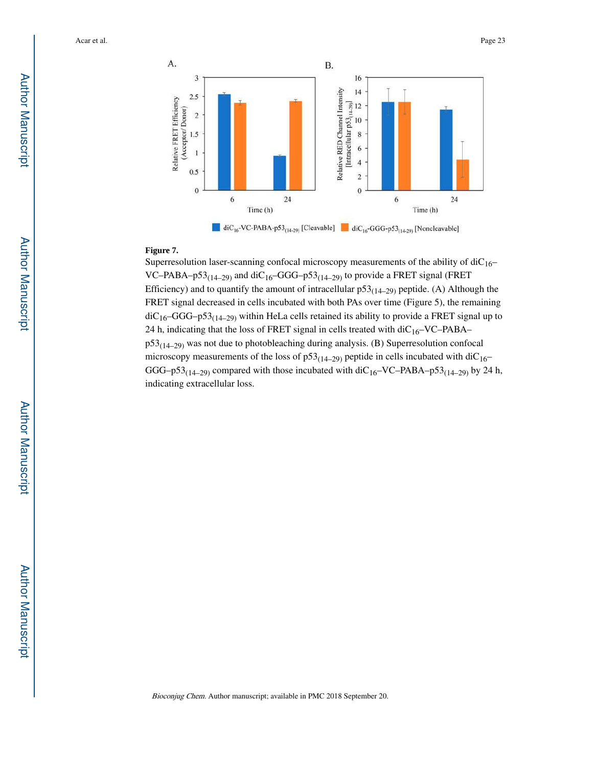

#### **Figure 7.**

Superresolution laser-scanning confocal microscopy measurements of the ability of  $diC_{16}$ – VC–PABA–p53<sub>(14–29)</sub> and diC<sub>16</sub>–GGG–p53<sub>(14–29)</sub> to provide a FRET signal (FRET Efficiency) and to quantify the amount of intracellular  $p53_{(14-29)}$  peptide. (A) Although the FRET signal decreased in cells incubated with both PAs over time (Figure 5), the remaining  $diC_{16}$ –GGG–p53<sub>(14–29)</sub> within HeLa cells retained its ability to provide a FRET signal up to 24 h, indicating that the loss of FRET signal in cells treated with  $diC_{16}$ –VC–PABA–  $p53_{(14-29)}$  was not due to photobleaching during analysis. (B) Superresolution confocal microscopy measurements of the loss of  $p53<sub>(14–29)</sub>$  peptide in cells incubated with diC<sub>16</sub>– GGG–p53<sub>(14–29)</sub> compared with those incubated with diC<sub>16</sub>–VC–PABA–p53<sub>(14–29)</sub> by 24 h, indicating extracellular loss.